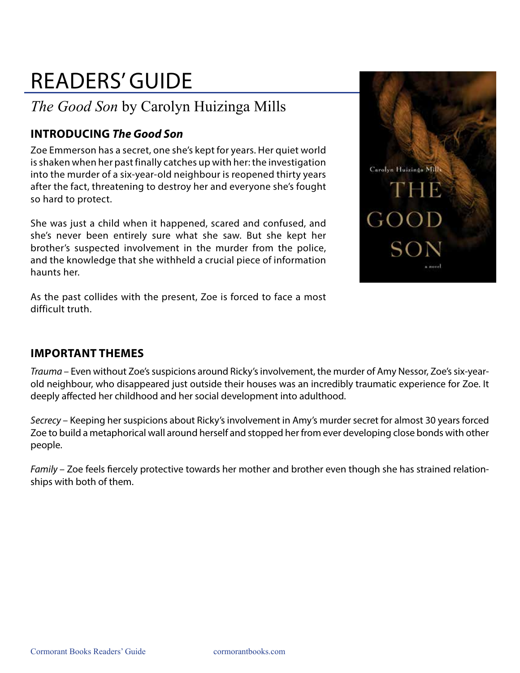# READERS' GUIDE

## *The Good Son* by Carolyn Huizinga Mills

### **INTRODUCING** *The Good Son*

Zoe Emmerson has a secret, one she's kept for years. Her quiet world is shaken when her past finally catches up with her: the investigation into the murder of a six-year-old neighbour is reopened thirty years after the fact, threatening to destroy her and everyone she's fought so hard to protect.

She was just a child when it happened, scared and confused, and she's never been entirely sure what she saw. But she kept her brother's suspected involvement in the murder from the police, and the knowledge that she withheld a crucial piece of information haunts her.

As the past collides with the present, Zoe is forced to face a most difficult truth.



#### **IMPORTANT THEMES**

*Trauma* – Even without Zoe's suspicions around Ricky's involvement, the murder of Amy Nessor, Zoe's six-yearold neighbour, who disappeared just outside their houses was an incredibly traumatic experience for Zoe. It deeply affected her childhood and her social development into adulthood.

*Secrecy* – Keeping her suspicions about Ricky's involvement in Amy's murder secret for almost 30 years forced Zoe to build a metaphorical wall around herself and stopped her from ever developing close bonds with other people.

*Family* – Zoe feels fiercely protective towards her mother and brother even though she has strained relationships with both of them.